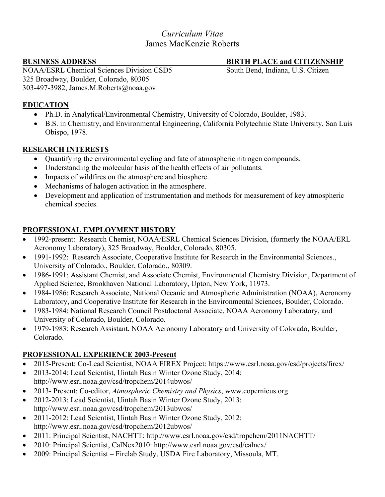# *Curriculum Vitae* James MacKenzie Roberts

## **BUSINESS ADDRESS BIRTH PLACE and CITIZENSHIP**

NOAA/ESRL Chemical Sciences Division CSD5 South Bend, Indiana, U.S. Citizen 325 Broadway, Boulder, Colorado, 80305 303-497-3982, James.M.Roberts@noaa.gov

### **EDUCATION**

- Ph.D. in Analytical/Environmental Chemistry, University of Colorado, Boulder, 1983.
- B.S. in Chemistry, and Environmental Engineering, California Polytechnic State University, San Luis Obispo, 1978.

## **RESEARCH INTERESTS**

- Quantifying the environmental cycling and fate of atmospheric nitrogen compounds.
- Understanding the molecular basis of the health effects of air pollutants.
- Impacts of wildfires on the atmosphere and biosphere.
- Mechanisms of halogen activation in the atmosphere.
- Development and application of instrumentation and methods for measurement of key atmospheric chemical species.

## **PROFESSIONAL EMPLOYMENT HISTORY**

- 1992-present: Research Chemist, NOAA/ESRL Chemical Sciences Division, (formerly the NOAA/ERL Aeronomy Laboratory), 325 Broadway, Boulder, Colorado, 80305.
- 1991-1992: Research Associate, Cooperative Institute for Research in the Environmental Sciences., University of Colorado., Boulder, Colorado., 80309.
- 1986-1991: Assistant Chemist, and Associate Chemist, Environmental Chemistry Division, Department of Applied Science, Brookhaven National Laboratory, Upton, New York, 11973.
- 1984-1986: Research Associate, National Oceanic and Atmospheric Administration (NOAA), Aeronomy Laboratory, and Cooperative Institute for Research in the Environmental Sciences, Boulder, Colorado.
- 1983-1984: National Research Council Postdoctoral Associate, NOAA Aeronomy Laboratory, and University of Colorado, Boulder, Colorado.
- 1979-1983: Research Assistant, NOAA Aeronomy Laboratory and University of Colorado, Boulder, Colorado.

## **PROFESSIONAL EXPERIENCE 2003-Present**

- 2015-Present: Co-Lead Scientist, NOAA FIREX Project: https://www.esrl.noaa.gov/csd/projects/firex/
- 2013-2014: Lead Scientist, Uintah Basin Winter Ozone Study, 2014: http://www.esrl.noaa.gov/csd/tropchem/2014ubwos/
- 2013- Present: Co-editor, *Atmospheric Chemistry and Physics*, www.copernicus.org
- 2012-2013: Lead Scientist, Uintah Basin Winter Ozone Study, 2013: http://www.esrl.noaa.gov/csd/tropchem/2013ubwos/
- 2011-2012: Lead Scientist, Uintah Basin Winter Ozone Study, 2012: http://www.esrl.noaa.gov/csd/tropchem/2012ubwos/
- 2011: Principal Scientist, NACHTT: http://www.esrl.noaa.gov/csd/tropchem/2011NACHTT/
- 2010: Principal Scientist, CalNex2010: http://www.esrl.noaa.gov/csd/calnex/
- 2009: Principal Scientist Firelab Study, USDA Fire Laboratory, Missoula, MT.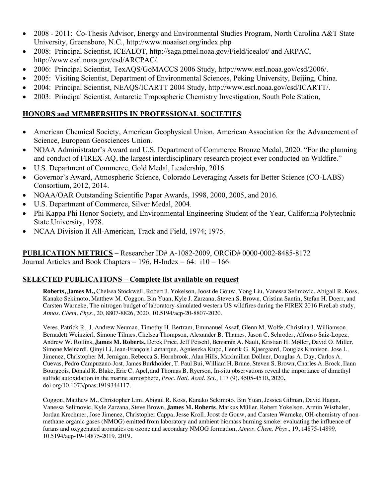- 2008 2011: Co-Thesis Advisor, Energy and Environmental Studies Program, North Carolina A&T State University, Greensboro, N.C., http://www.noaaiset.org/index.php
- 2008: Principal Scientist, ICEALOT, http://saga.pmel.noaa.gov/Field/icealot/ and ARPAC, http://www.esrl.noaa.gov/csd/ARCPAC/.
- 2006: Principal Scientist, TexAQS/GoMACCS 2006 Study, http://www.esrl.noaa.gov/csd/2006/.
- 2005: Visiting Scientist, Department of Environmental Sciences, Peking University, Beijing, China.
- 2004: Principal Scientist, NEAQS/ICARTT 2004 Study, http://www.esrl.noaa.gov/csd/ICARTT/.
- 2003: Principal Scientist, Antarctic Tropospheric Chemistry Investigation, South Pole Station,

### **HONORS and MEMBERSHIPS IN PROFESSIONAL SOCIETIES**

- American Chemical Society, American Geophysical Union, American Association for the Advancement of Science, European Geosciences Union.
- NOAA Administrator's Award and U.S. Department of Commerce Bronze Medal, 2020. "For the planning and conduct of FIREX-AQ, the largest interdisciplinary research project ever conducted on Wildfire."
- U.S. Department of Commerce, Gold Medal, Leadership, 2016.
- Governor's Award, Atmospheric Science, Colorado Leveraging Assets for Better Science (CO-LABS) Consortium, 2012, 2014.
- NOAA/OAR Outstanding Scientific Paper Awards, 1998, 2000, 2005, and 2016.
- U.S. Department of Commerce, Silver Medal, 2004.
- Phi Kappa Phi Honor Society, and Environmental Engineering Student of the Year, California Polytechnic State University, 1978.
- NCAA Division II All-American, Track and Field, 1974; 1975.

**PUBLICATION METRICS –** Researcher ID# A-1082-2009, ORCiD# 0000-0002-8485-8172 Journal Articles and Book Chapters =  $196$ , H-Index =  $64$ :  $110 = 166$ 

#### **SELECTED PUBLICATIONS – Complete list available on request**

**Roberts, James M.,** Chelsea Stockwell, Robert J. Yokelson, Joost de Gouw, Yong Liu, Vanessa Selimovic, Abigail R. Koss, Kanako Sekimoto, Matthew M. Coggon, Bin Yuan, Kyle J. Zarzana, Steven S. Brown, Cristina Santin, Stefan H. Doerr, and Carsten Warneke, The nitrogen budget of laboratory-simulated western US wildfires during the FIREX 2016 FireLab study, *Atmos. Chem. Phys.,* 20, 8807-8826, 2020, 10.5194/acp-20-8807-2020.

Veres, Patrick R., J. Andrew Neuman, Timothy H. Bertram, Emmanuel Assaf, Glenn M. Wolfe, Christina J. Williamson, Bernadett Weinzierl, Simone Tilmes, Chelsea Thompson, Alexander B. Thames, Jason C. Schroder, Alfonso Saiz-Lopez, Andrew W. Rollins, **James M. Roberts,** Derek Price, Jeff Peischl, Benjamin A. Nault, Kristian H. Møller, David O. Miller, Simone Meinardi, Qinyi Li, Jean-François Lamarque, Agnieszka Kupc, Henrik G. Kjaergaard, Douglas Kinnison, Jose L. Jimenez, Christopher M. Jernigan, Rebecca S. Hornbrook, Alan Hills, Maximilian Dollner, Douglas A. Day, Carlos A. Cuevas, Pedro Campuzano-Jost, James Burkholder, T. Paul Bui, William H. Brune, Steven S. Brown, Charles A. Brock, Ilann Bourgeois, Donald R. Blake, Eric C. Apel, and Thomas B. Ryerson, In-situ observations reveal the importance of dimethyl sulfide autoxidation in the marine atmosphere, *Proc. Natl. Acad. Sci.*, 117 (9), 4505-4510**,** 2020**,**  doi.org/10.1073/pnas.1919344117.

Coggon, Matthew M., Christopher Lim, Abigail R. Koss, Kanako Sekimoto, Bin Yuan, Jessica Gilman, David Hagan, Vanessa Selimovic, Kyle Zarzana, Steve Brown, **James M. Roberts**, Markus Müller, Robert Yokelson, Armin Wisthaler, Jordan Krechmer, Jose Jimenez, Christopher Cappa, Jesse Kroll, Joost de Gouw, and Carsten Warneke, OH-chemistry of nonmethane organic gases (NMOG) emitted from laboratory and ambient biomass burning smoke: evaluating the influence of furans and oxygenated aromatics on ozone and secondary NMOG formation, *Atmos. Chem. Phys.,* 19, 14875-14899, 10.5194/acp-19-14875-2019, 2019.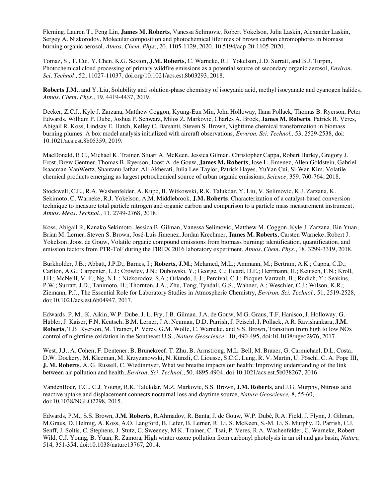Fleming, Lauren T., Peng Lin, **James M. Roberts**, Vanessa Selimovic, Robert Yokelson, Julia Laskin, Alexander Laskin, Sergey A. Nizkorodov, Molecular composition and photochemical lifetimes of brown carbon chromophores in biomass burning organic aerosol, *Atmos. Chem. Phys.*, 20, 1105-1129, 2020, 10.5194/acp-20-1105-2020.

Tomaz, S., T. Cui, Y. Chen, K.G. Sexton, **J.M. Roberts**, C. Warneke, R.J. Yokelson, J.D. Surratt, and B.J. Turpin, Photochemical cloud processing of primary wildfire emissions as a potential source of secondary organic aerosol, *Environ. Sci. Technol.,* 52, 11027-11037, doi.org/10.1021/acs.est.8b03293, 2018.

**Roberts J.M.**, and Y. Liu, Solubility and solution-phase chemistry of isocyanic acid, methyl isocyanate and cyanogen halides, *Atmos. Chem. Phys.,* 19, 4419-4437, 2019.

Decker, Z.C.J., Kyle J. Zarzana, Matthew Coggon, Kyung-Eun Min, John Holloway, Ilana Pollack, Thomas B. Ryerson, Peter Edwards, William P. Dube, Joshua P. Schwarz, Milos Z. Markovic, Charles A. Brock, **James M. Roberts**, Patrick R. Veres, Abigail R. Koss, Lindsay E. Hatch, Kelley C. Barsanti, Steven S. Brown, Nighttime chemical transformation in biomass burning plumes: A box model analysis initialized with aircraft observations, *Environ. Sci. Technol.,* 53, 2529-2538, doi: 10.1021/acs.est.8b05359, 2019.

MacDonald, B.C., Michael K. Trainer, Stuart A. McKeen, Jessica Gilman, Christopher Cappa, Robert Harley, Gregory J. Frost, Drew Gentner, Thomas B. Ryerson, Joost A. de Gouw, **James M. Roberts**, Jose L. Jimenez, Allen Goldstein, Gabriel Isaacman-VanWertz, Shantanu Jathar, Ali Akherati, Julia Lee-Taylor, Patrick Hayes, YuYan Cui, Si-Wan Kim, Volatile chemical products emerging as largest petrochemical source of urban organic emissions, *Science,* 359, 760-764, 2018.

Stockwell, C.E., R.A. Washenfelder, A. Kupc, B. Witkowski, R.K. Talukdar, Y. Liu, V. Selimovic, K.J. Zarzana, K. Sekimoto, C. Warneke, R.J. Yokelson, A.M. Middlebrook, **J.M. Roberts**, Characterization of a catalyst-based conversion technique to measure total particle nitrogen and organic carbon and comparison to a particle mass measurement instrument, *Atmos. Meas. Technol.,* 11, 2749-2768, 2018.

Koss, Abigail R, Kanako Sekimoto, Jessica B. Gilman, Vanessa Selimovic, Matthew M. Coggon, Kyle J. Zarzana, Bin Yuan, Brian M. Lerner, Steven S. Brown, José-Luis Jimenez, Jordan Krechmer, **James M. Roberts**, Carsten Warneke, Robert J. Yokelson, Joost de Gouw, Volatile organic compound emissions from biomass burning: identification, quantification, and emission factors from PTR-ToF during the FIREX 2016 laboratory experiment, *Atmos. Chem. Phys.*, 18, 3299-3319, 2018.

Burkholder, J.B.; Abbatt, J.P.D.; Barnes, I.; **Roberts, J.M.**; Melamed, M.L.; Ammann, M.; Bertram, A.K.; Cappa, C.D.; Carlton, A.G.; Carpenter, L.J.; Crowley, J.N.; Dubowski, Y.; George, C.; Heard, D.E.; Herrmann, H.; Keutsch, F.N.; Kroll, J.H.; McNeill, V. F.; Ng, N.L.; Nizkorodov, S.A.; Orlando, J. J.; Percival, C.J.; Picquet-Varrault, B.; Rudich, Y.; Seakins, P.W.; Surratt, J.D.; Tanimoto, H.; Thornton, J.A.; Zhu, Tong; Tyndall, G.S.; Wahner, A.; Weschler, C.J.; Wilson, K.R.; Ziemann, P.J., The Essential Role for Laboratory Studies in Atmospheric Chemistry, *Environ. Sci. Technol.,* 51, 2519-2528, doi:10.1021/acs.est.6b04947, 2017.

Edwards, P. M., K. Aikin, W.P. Dube, J. L. Fry, J.B. Gilman, J.A. de Gouw, M.G. Graus, T.F. Hanisco, J. Holloway, G. Hübler, J. Kaiser, F.N. Keutsch, B.M. Lerner, J.A. Neuman, D.D. Parrish, J. Peischl, I. Pollack, A.R. Ravishankara, **J.M. Roberts**, T.B. Ryerson, M. Trainer, P. Veres, G.M. Wolfe, C. Warneke, and S.S. Brown, Transition from high to low NOx control of nighttime oxidation in the Southeast U.S., *Nature Geoscience.*, 10, 490-495, doi:10.1038/ngeo2976, 2017.

West, J.J., A. Cohen, F. Dentener, B. Brunekreef, T. Zhu, B. Armstrong, M.L. Bell, M. Brauer, G. Carmichael, D.L. Costa, D.W. Dockery, M. Kleeman, M. Krzyzanowski, N. Künzli, C. Liousse, S.C.C. Lung, R. V. Martin, U. Pöschl, C. A. Pope III, **J. M. Roberts**, A. G. Russell, C. Wiedinmyer, What we breathe impacts our health: Improving understanding of the link between air pollution and health, *Environ. Sci. Technol.*, 50, 4895-4904, doi:10.1021/acs.est.5b038267, 2016.

VandenBoer, T.C., C.J. Young, R.K. Talukdar, M.Z. Markovic, S.S. Brown, **J.M. Roberts**, and J.G. Murphy, Nitrous acid reactive uptake and displacement connects nocturnal loss and daytime source, *Nature Geoscience,* 8, 55-60, doi:10.1038/NGEO2298, 2015.

Edwards, P.M., S.S. Brown, **J.M. Roberts**, R.Ahmadov, R. Banta, J. de Gouw, W.P. Dubé, R.A. Field, J. Flynn, J. Gilman, M.Graus, D. Helmig, A. Koss, A.O. Langford, B. Lefer, B. Lerner, R. Li, S. McKeen, S.-M. Li, S. Murphy, D. Parrish, C.J. Senff, J. Soltis, C. Stephens, J. Stutz, C. Sweeney, M.K. Trainer, C. Tsai, P. Veres, R.A. Washenfelder, C. Warneke, Robert Wild, C.J. Young, B. Yuan, R. Zamora, High winter ozone pollution from carbonyl photolysis in an oil and gas basin, *Nature,* 514, 351-354, doi:10.1038/nature13767, 2014.